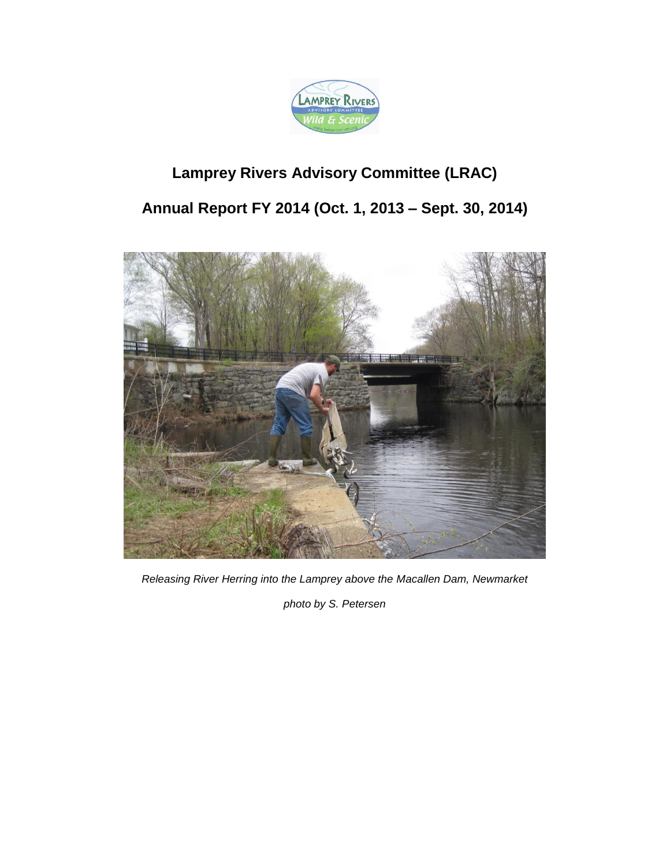

# **Lamprey Rivers Advisory Committee (LRAC) Annual Report FY 2014 (Oct. 1, 2013 – Sept. 30, 2014)**



*Releasing River Herring into the Lamprey above the Macallen Dam, Newmarket*

*photo by S. Petersen*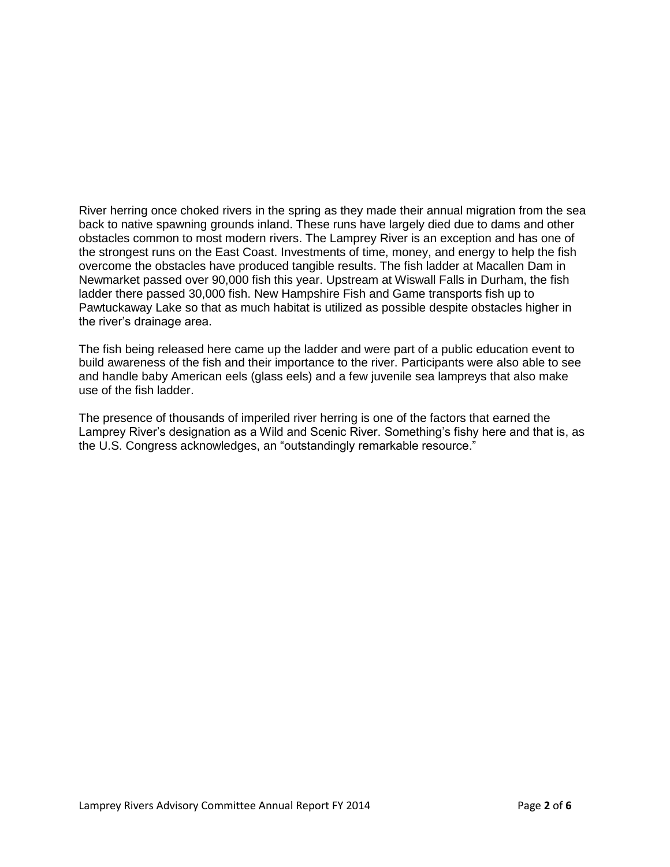River herring once choked rivers in the spring as they made their annual migration from the sea back to native spawning grounds inland. These runs have largely died due to dams and other obstacles common to most modern rivers. The Lamprey River is an exception and has one of the strongest runs on the East Coast. Investments of time, money, and energy to help the fish overcome the obstacles have produced tangible results. The fish ladder at Macallen Dam in Newmarket passed over 90,000 fish this year. Upstream at Wiswall Falls in Durham, the fish ladder there passed 30,000 fish. New Hampshire Fish and Game transports fish up to Pawtuckaway Lake so that as much habitat is utilized as possible despite obstacles higher in the river's drainage area.

The fish being released here came up the ladder and were part of a public education event to build awareness of the fish and their importance to the river. Participants were also able to see and handle baby American eels (glass eels) and a few juvenile sea lampreys that also make use of the fish ladder.

The presence of thousands of imperiled river herring is one of the factors that earned the Lamprey River's designation as a Wild and Scenic River. Something's fishy here and that is, as the U.S. Congress acknowledges, an "outstandingly remarkable resource."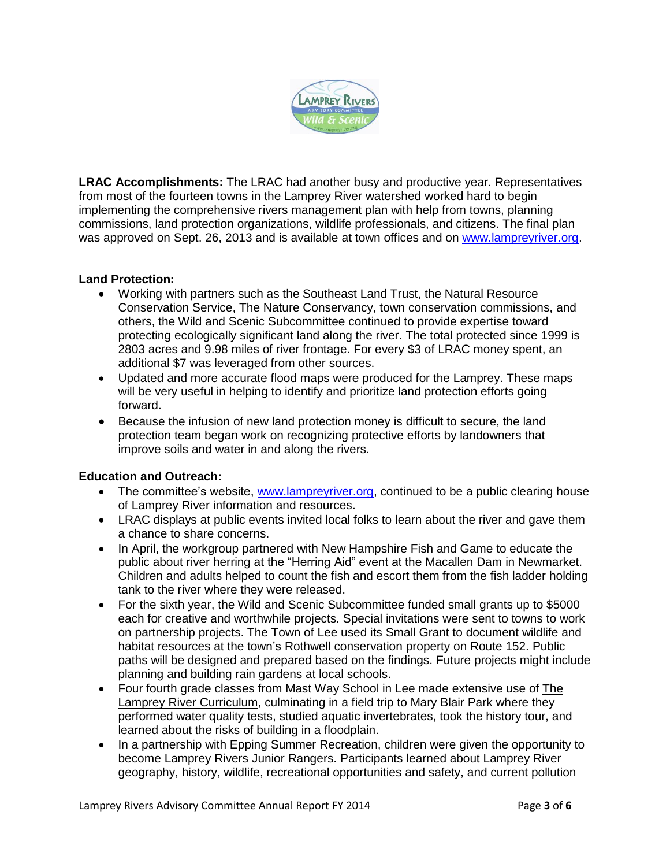

**LRAC Accomplishments:** The LRAC had another busy and productive year. Representatives from most of the fourteen towns in the Lamprey River watershed worked hard to begin implementing the comprehensive rivers management plan with help from towns, planning commissions, land protection organizations, wildlife professionals, and citizens. The final plan was approved on Sept. 26, 2013 and is available at town offices and on [www.lampreyriver.org.](www.lampreyriver.org)

# **Land Protection:**

- Working with partners such as the Southeast Land Trust, the Natural Resource Conservation Service, The Nature Conservancy, town conservation commissions, and others, the Wild and Scenic Subcommittee continued to provide expertise toward protecting ecologically significant land along the river. The total protected since 1999 is 2803 acres and 9.98 miles of river frontage. For every \$3 of LRAC money spent, an additional \$7 was leveraged from other sources.
- Updated and more accurate flood maps were produced for the Lamprey. These maps will be very useful in helping to identify and prioritize land protection efforts going forward.
- Because the infusion of new land protection money is difficult to secure, the land protection team began work on recognizing protective efforts by landowners that improve soils and water in and along the rivers.

## **Education and Outreach:**

- The committee's website, [www.lampreyriver.org,](http://www.lampreyriver.org/) continued to be a public clearing house of Lamprey River information and resources.
- LRAC displays at public events invited local folks to learn about the river and gave them a chance to share concerns.
- In April, the workgroup partnered with New Hampshire Fish and Game to educate the public about river herring at the "Herring Aid" event at the Macallen Dam in Newmarket. Children and adults helped to count the fish and escort them from the fish ladder holding tank to the river where they were released.
- For the sixth year, the Wild and Scenic Subcommittee funded small grants up to \$5000 each for creative and worthwhile projects. Special invitations were sent to towns to work on partnership projects. The Town of Lee used its Small Grant to document wildlife and habitat resources at the town's Rothwell conservation property on Route 152. Public paths will be designed and prepared based on the findings. Future projects might include planning and building rain gardens at local schools.
- Four fourth grade classes from Mast Way School in Lee made extensive use of The Lamprey River Curriculum, culminating in a field trip to Mary Blair Park where they performed water quality tests, studied aquatic invertebrates, took the history tour, and learned about the risks of building in a floodplain.
- In a partnership with Epping Summer Recreation, children were given the opportunity to become Lamprey Rivers Junior Rangers. Participants learned about Lamprey River geography, history, wildlife, recreational opportunities and safety, and current pollution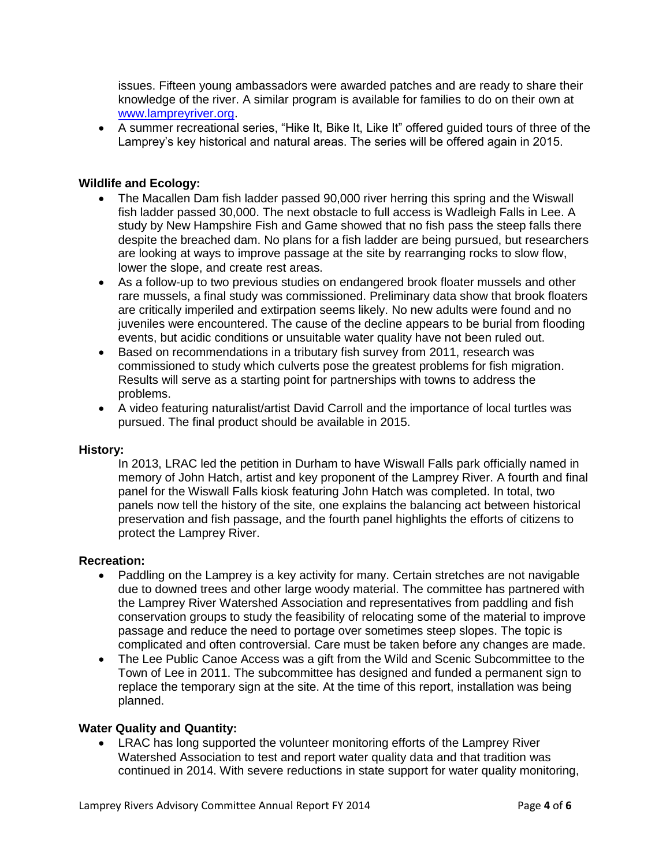issues. Fifteen young ambassadors were awarded patches and are ready to share their knowledge of the river. A similar program is available for families to do on their own at [www.lampreyriver.org.](http://www.lampreyriver.org/)

 A summer recreational series, "Hike It, Bike It, Like It" offered guided tours of three of the Lamprey's key historical and natural areas. The series will be offered again in 2015.

### **Wildlife and Ecology:**

- The Macallen Dam fish ladder passed 90,000 river herring this spring and the Wiswall fish ladder passed 30,000. The next obstacle to full access is Wadleigh Falls in Lee. A study by New Hampshire Fish and Game showed that no fish pass the steep falls there despite the breached dam. No plans for a fish ladder are being pursued, but researchers are looking at ways to improve passage at the site by rearranging rocks to slow flow, lower the slope, and create rest areas.
- As a follow-up to two previous studies on endangered brook floater mussels and other rare mussels, a final study was commissioned. Preliminary data show that brook floaters are critically imperiled and extirpation seems likely. No new adults were found and no juveniles were encountered. The cause of the decline appears to be burial from flooding events, but acidic conditions or unsuitable water quality have not been ruled out.
- Based on recommendations in a tributary fish survey from 2011, research was commissioned to study which culverts pose the greatest problems for fish migration. Results will serve as a starting point for partnerships with towns to address the problems.
- A video featuring naturalist/artist David Carroll and the importance of local turtles was pursued. The final product should be available in 2015.

#### **History:**

In 2013, LRAC led the petition in Durham to have Wiswall Falls park officially named in memory of John Hatch, artist and key proponent of the Lamprey River. A fourth and final panel for the Wiswall Falls kiosk featuring John Hatch was completed. In total, two panels now tell the history of the site, one explains the balancing act between historical preservation and fish passage, and the fourth panel highlights the efforts of citizens to protect the Lamprey River.

#### **Recreation:**

- Paddling on the Lamprey is a key activity for many. Certain stretches are not navigable due to downed trees and other large woody material. The committee has partnered with the Lamprey River Watershed Association and representatives from paddling and fish conservation groups to study the feasibility of relocating some of the material to improve passage and reduce the need to portage over sometimes steep slopes. The topic is complicated and often controversial. Care must be taken before any changes are made.
- The Lee Public Canoe Access was a gift from the Wild and Scenic Subcommittee to the Town of Lee in 2011. The subcommittee has designed and funded a permanent sign to replace the temporary sign at the site. At the time of this report, installation was being planned.

#### **Water Quality and Quantity:**

 LRAC has long supported the volunteer monitoring efforts of the Lamprey River Watershed Association to test and report water quality data and that tradition was continued in 2014. With severe reductions in state support for water quality monitoring,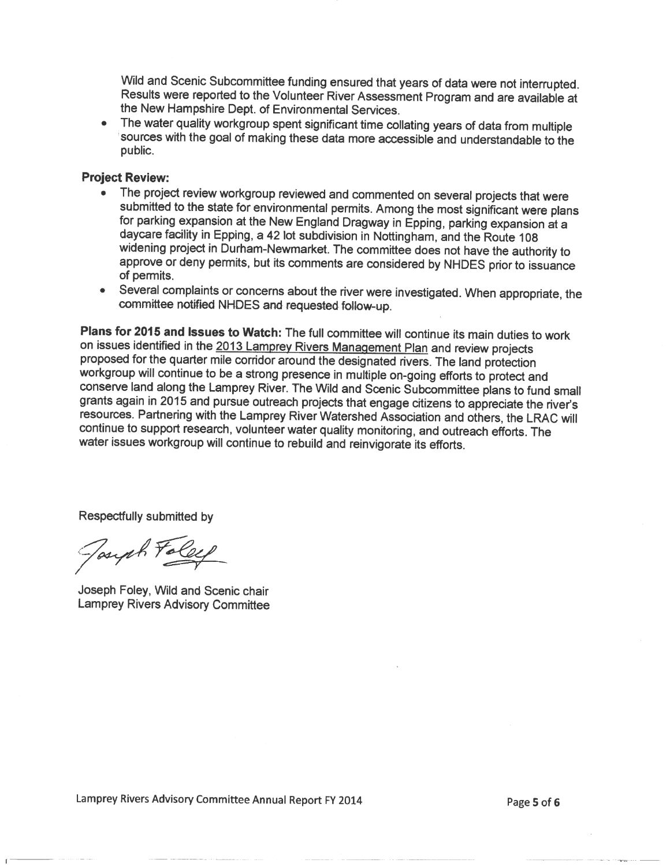Wild and Scenic Subcommittee funding ensured that years of data were not interrupted. Results were reported to the Volunteer River Assessment Program and are available at the New Hampshire Dept. of Environmental Services.

The water quality workgroup spent significant time collating years of data from multiple  $\bullet$  . sources with the goal of making these data more accessible and understandable to the public.

#### **Project Review:**

- The project review workgroup reviewed and commented on several projects that were submitted to the state for environmental permits. Among the most significant were plans for parking expansion at the New England Dragway in Epping, parking expansion at a daycare facility in Epping, a 42 lot subdivision in Nottingham, and the Route 108 widening project in Durham-Newmarket. The committee does not have the authority to approve or deny permits, but its comments are considered by NHDES prior to issuance of permits.
- Several complaints or concerns about the river were investigated. When appropriate, the committee notified NHDES and requested follow-up.

Plans for 2015 and Issues to Watch: The full committee will continue its main duties to work on issues identified in the 2013 Lamprey Rivers Management Plan and review projects proposed for the quarter mile corridor around the designated rivers. The land protection workgroup will continue to be a strong presence in multiple on-going efforts to protect and conserve land along the Lamprey River. The Wild and Scenic Subcommittee plans to fund small grants again in 2015 and pursue outreach projects that engage citizens to appreciate the river's resources. Partnering with the Lamprey River Watershed Association and others, the LRAC will continue to support research, volunteer water quality monitoring, and outreach efforts. The water issues workgroup will continue to rebuild and reinvigorate its efforts.

Respectfully submitted by

Joseph Foldel

Joseph Foley, Wild and Scenic chair Lamprey Rivers Advisory Committee

Lamprey Rivers Advisory Committee Annual Report FY 2014

Page 5 of 6